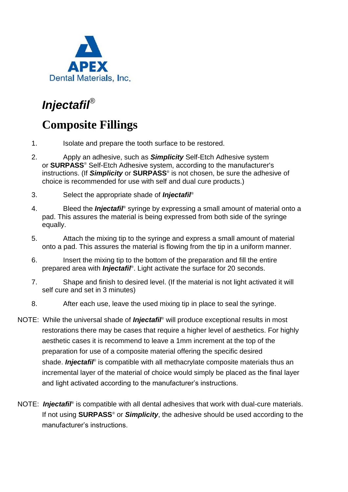

## *Injectafil*®

## **Composite Fillings**

- 1. Isolate and prepare the tooth surface to be restored.
- 2. Apply an adhesive, such as *Simplicity* Self-Etch Adhesive system or **SURPASS**® Self-Etch Adhesive system, according to the manufacturer's instructions. (If *Simplicity* or **SURPASS**® is not chosen, be sure the adhesive of choice is recommended for use with self and dual cure products.)
- 3. Select the appropriate shade of *Injectafil*®
- 4. Bleed the *Injectafil*® syringe by expressing a small amount of material onto a pad. This assures the material is being expressed from both side of the syringe equally.
- 5. Attach the mixing tip to the syringe and express a small amount of material onto a pad. This assures the material is flowing from the tip in a uniform manner.
- 6. Insert the mixing tip to the bottom of the preparation and fill the entire prepared area with *Injectafil*® . Light activate the surface for 20 seconds.
- 7. Shape and finish to desired level. (If the material is not light activated it will self cure and set in 3 minutes)
- 8. After each use, leave the used mixing tip in place to seal the syringe.
- NOTE: While the universal shade of *Injectafil*® will produce exceptional results in most restorations there may be cases that require a higher level of aesthetics. For highly aesthetic cases it is recommend to leave a 1mm increment at the top of the preparation for use of a composite material offering the specific desired shade. *Injectafil*<sup>®</sup> is compatible with all methacrylate composite materials thus an incremental layer of the material of choice would simply be placed as the final layer and light activated according to the manufacturer's instructions.
- NOTE: *Injectafil*<sup>®</sup> is compatible with all dental adhesives that work with dual-cure materials. If not using **SURPASS**® or *Simplicity*, the adhesive should be used according to the manufacturer's instructions.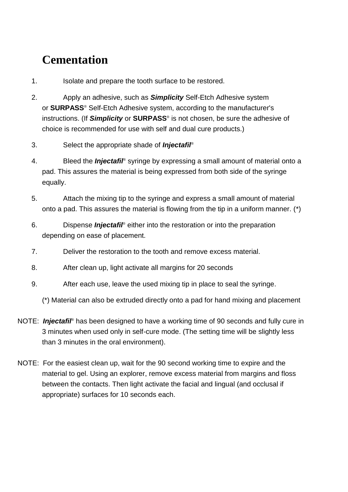## **Cementation**

- 1. Isolate and prepare the tooth surface to be restored.
- 2. Apply an adhesive, such as *Simplicity* Self-Etch Adhesive system or **SURPASS**® Self-Etch Adhesive system, according to the manufacturer's instructions. (If *Simplicity* or **SURPASS**® is not chosen, be sure the adhesive of choice is recommended for use with self and dual cure products.)
- 3. Select the appropriate shade of *Injectafil*®
- 4. Bleed the *Injectafil*® syringe by expressing a small amount of material onto a pad. This assures the material is being expressed from both side of the syringe equally.
- 5. Attach the mixing tip to the syringe and express a small amount of material onto a pad. This assures the material is flowing from the tip in a uniform manner. (\*)
- 6. Dispense *Injectafil*® either into the restoration or into the preparation depending on ease of placement.
- 7. Deliver the restoration to the tooth and remove excess material.
- 8. After clean up, light activate all margins for 20 seconds
- 9. After each use, leave the used mixing tip in place to seal the syringe.
	- (\*) Material can also be extruded directly onto a pad for hand mixing and placement
- NOTE: *Injectafil*® has been designed to have a working time of 90 seconds and fully cure in 3 minutes when used only in self-cure mode. (The setting time will be slightly less than 3 minutes in the oral environment).
- NOTE: For the easiest clean up, wait for the 90 second working time to expire and the material to gel. Using an explorer, remove excess material from margins and floss between the contacts. Then light activate the facial and lingual (and occlusal if appropriate) surfaces for 10 seconds each.